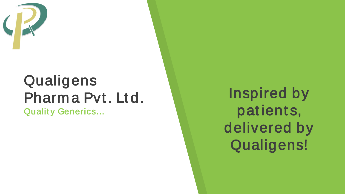

### Qualigens Pharma Pvt. Ltd.

**Quality Generics...** 

**Inspired by** patients, delivered by Qualigens!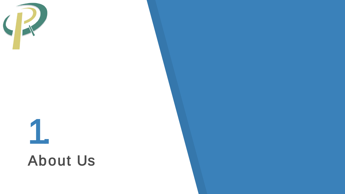

# 1. About Us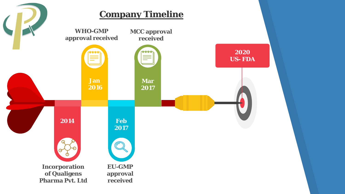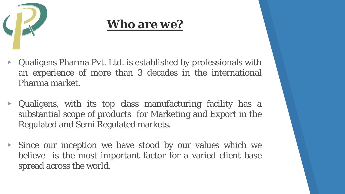

#### **Who are we?**

- ▸ Qualigens Pharma Pvt. Ltd. is established by professionals with an experience of more than 3 decades in the international Pharma market.
- ▸ Qualigens, with its top class manufacturing facility has a substantial scope of products for Marketing and Export in the Regulated and Semi Regulated markets.
- ▸ Since our inception we have stood by our values which we believe is the most important factor for a varied client base spread across the world.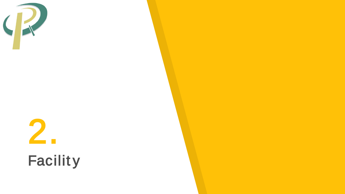

## **Facility**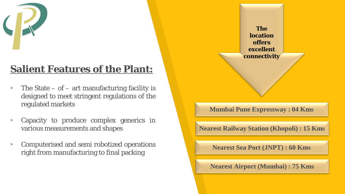

#### **Salient Features of the Plant:**

- $\triangleright$  The State of art manufacturing facility is designed to meet stringent regulations of the regulated markets
- ▸ Capacity to produce complex generics in various measurements and shapes
- ▸ Computerised and semi robotized operations right from manufacturing to final packing

**The location offers excellent connectivity Mumbai Pune Expressway : 04 Kms Nearest Railway Station (Khopoli) : 15 Kms Nearest Sea Port (JNPT) : 60 Kms Nearest Airport (Mumbai) : 75 Kms**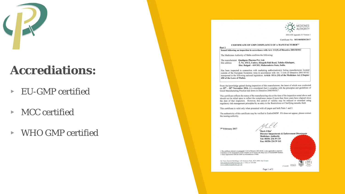

#### **Accrediations:**

- ▸ EU-GMP certified
- ▸ MCC certified
- ▸ WHO GMP certified



Certificate No: MT/005HM/2017

#### CERTIFICATE OF GMP COMPLIANCE OF A MANUFACTURER<sup>1,2</sup>

#### Part 1 Issued following an inspection in accordance with Art. 111(5) of Directive 2001/83/EC

The Medicines Authority of Malta confirms the following:

The manufacturer Qualigens Pharma Pvt. Ltd. Site address S. No. 151/2, Umbre, Khopoli-Pali Road, Taluka-Khalapur, Dist. Raigad - 410 203, Maharashtra State, India.

Has been inspected in connection with marketing authorisation(s) listing manufacturers located outside of the European Economic Area in accordance with Art. 111(4) of Directive 2001/83/EC transposed in the following national legislation: Article 101A (10) of the Medicines Act (Chapter 458 of the Laws of Malta).

From the knowledge gained during inspection of this manufacturer, the latest of which was conducted on  $25$ <sup>th</sup> -  $28$ <sup>th</sup> November 2016, it is considered that it complies with the principles and guidelines of Good Manufacturing Practice laid down in Directive 2003/94/EC<sup>3</sup>.

This certificate reflects the status of the manufacturing site at the time of the inspection noted above and should not be relied upon to reflect the compliance status if more than three years have elapsed since the date of that inspection. However, this period of validity may be reduced or extended using regulatory risk management principles by an entry in the Restrictions or Clarifying remarks field.

This certificate is valid only when presented with all pages and both Parts 1 and 2.

The authenticity of this certificate may be verified in EudraGMDP. If it does not appear, please contact the issuing authority.

7th February 2017

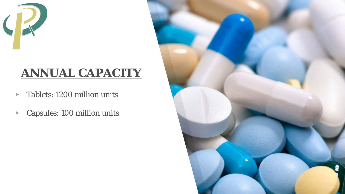

#### **ANNUAL CAPACITY**

- ▸ Tablets: 1200 million units
- ▸ Capsules: 100 million units

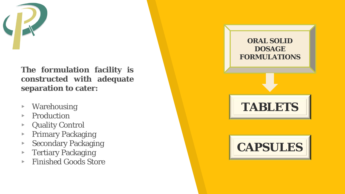

**T h e formulation facility is constructed with adequate separation to cater :**

- ▸ Warehousing
- **Production**
- ▸ Quality Control
- ▸ Primary Packaging
- ▸ Secondary Packaging
- ▸ Tertiary Packaging
- ▸ Finished Goods Store

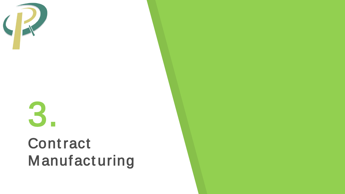

## **Contract** Manufacturing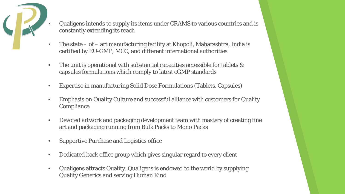

- Qualigens intends to supply its items under CRAMS to various countries and is constantly extending its reach
- The state  $-$  of  $-$  art manufacturing facility at Khopoli, Maharashtra, India is certified by EU-GMP, MCC, and different international authorities
- The unit is operational with substantial capacities accessible for tablets & capsules formulations which comply to latest cGMP standards
- Expertise in manufacturing Solid Dose Formulations (Tablets, Capsules)
- Emphasis on Quality Culture and successful alliance with customers for Quality **Compliance**
- Devoted artwork and packaging development team with mastery of creating fine art and packaging running from Bulk Packs to Mono Packs
- Supportive Purchase and Logistics office
- Dedicated back office group which gives singular regard to every client
- Qualigens attracts Quality. Qualigens is endowed to the world by supplying Quality Generics and serving Human Kind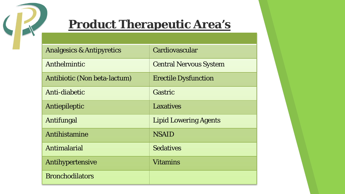

#### **Product Therapeutic Area's**

| <b>Analgesics &amp; Antipyretics</b> | Cardiovascular                |
|--------------------------------------|-------------------------------|
| Anthelmintic                         | <b>Central Nervous System</b> |
| Antibiotic (Non beta-lactum)         | <b>Erectile Dysfunction</b>   |
| Anti-diabetic                        | Gastric                       |
| Antiepileptic                        | <b>Laxatives</b>              |
| Antifungal                           | <b>Lipid Lowering Agents</b>  |
| Antihistamine                        | <b>NSAID</b>                  |
| Antimalarial                         | <b>Sedatives</b>              |
| Antihypertensive                     | <b>Vitamins</b>               |
| <b>Bronchodilators</b>               |                               |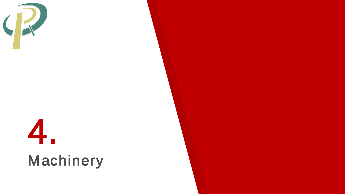



## 4.<br>Machinery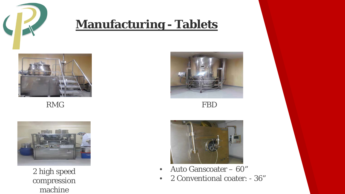

#### **Manufacturing - Tablets**



**RMG** 



2 high speed compression machine



**FBD** 



- Auto Ganscoater 60"  $\bullet$
- 2 Conventional coater: 36"  $\bullet$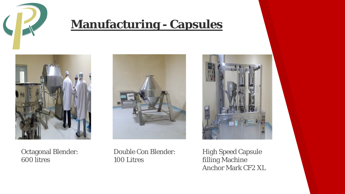

#### **Manufacturing - Capsules**









Double Con Blender: 100 Litres

High Speed Capsule filling Machine Anchor Mark CF2 XL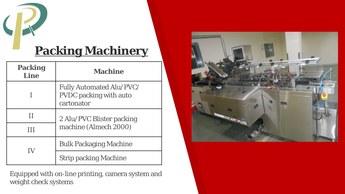

#### **Packing Machinery**

| <b>Packing</b><br>Line | <b>Machine</b>                                                                 |
|------------------------|--------------------------------------------------------------------------------|
|                        | <b>Fully Automated Alu/PVC/</b><br><b>PVDC</b> packing with auto<br>cartonator |
| Н                      | 2 Alu/PVC Blister packing<br>machine (Almech 2000)                             |
| Ш                      |                                                                                |
|                        | <b>Bulk Packaging Machine</b>                                                  |
|                        | <b>Strip packing Machine</b>                                                   |

Equipped with on-line printing, camera system and weight check systems

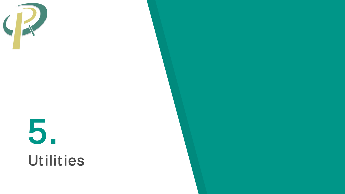

# 5. Utilities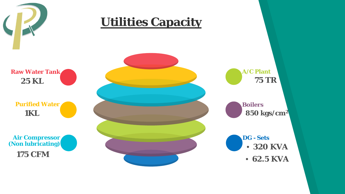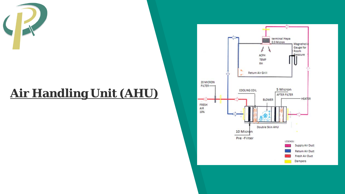

### **Air Handling Unit (AHU)**

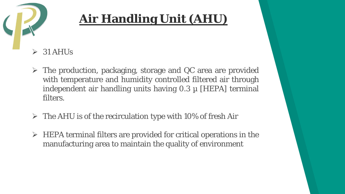

#### **Air Handling Unit (AHU)**

- 31 AHUs
- $\triangleright$  The production, packaging, storage and QC area are provided with temperature and humidity controlled filtered air through independent air handling units having  $0.3 \mu$  [HEPA] terminal filters.
- $\triangleright$  The AHU is of the recirculation type with 10% of fresh Air
- $\triangleright$  HEPA terminal filters are provided for critical operations in the manufacturing area to maintain the quality of environment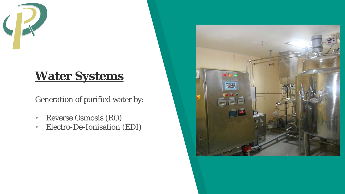

#### **Water Systems**

Generation of purified water by:

- ▸ Reverse Osmosis (RO)
- ▸ Electro-De-Ionisation (EDI)

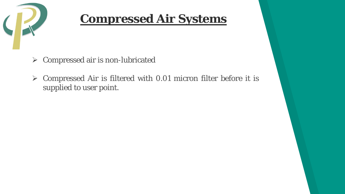

#### **Compressed Air Systems**

- $\triangleright$  Compressed air is non-lubricated
- $\triangleright$  Compressed Air is filtered with 0.01 micron filter before it is supplied to user point.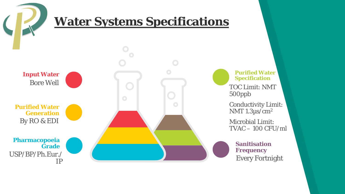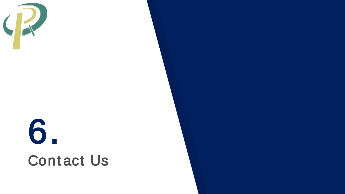

## 6. **Contact Us**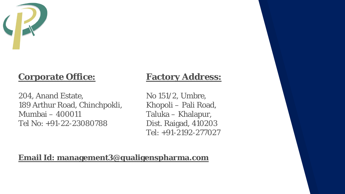

#### **Corporate Office:**

204, Anand Estate, 189 Arthur Road, Chinchpokli, Mumbai – 400011 Tel No: +91-22-23080788

#### **Factory Address:**

No 151/2, Umbre, Khopoli – Pali Road, Taluka – Khalapur, Dist. Raigad, 410203 Tel: +91-2192-277027

#### **Email Id: management3@qualigenspharma.com**